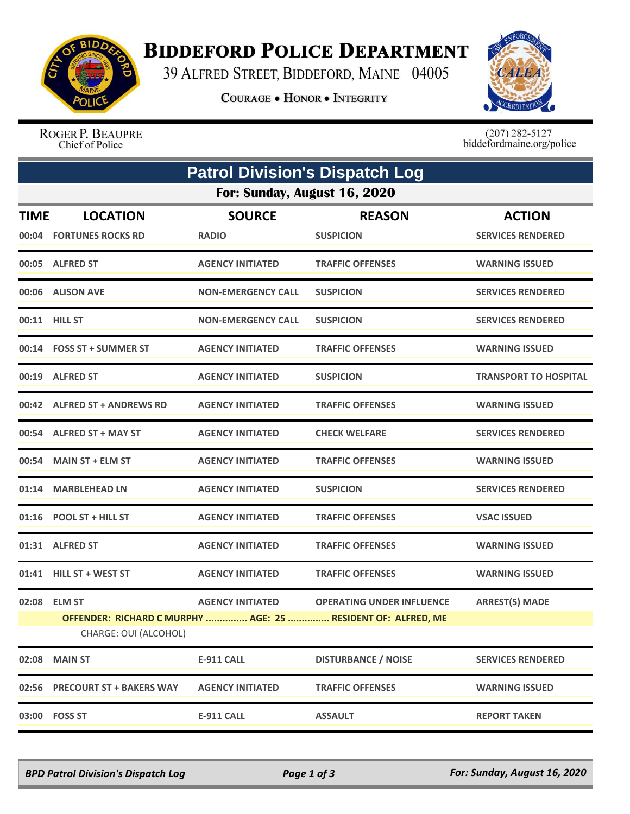

## **BIDDEFORD POLICE DEPARTMENT**

39 ALFRED STREET, BIDDEFORD, MAINE 04005

**COURAGE . HONOR . INTEGRITY** 



ROGER P. BEAUPRE Chief of Police

 $(207)$  282-5127<br>biddefordmaine.org/police

| <b>Patrol Division's Dispatch Log</b> |                                                                                       |                           |                                  |                              |  |  |  |  |
|---------------------------------------|---------------------------------------------------------------------------------------|---------------------------|----------------------------------|------------------------------|--|--|--|--|
| For: Sunday, August 16, 2020          |                                                                                       |                           |                                  |                              |  |  |  |  |
| <u>TIME</u>                           | <b>LOCATION</b>                                                                       | <b>SOURCE</b>             | <b>REASON</b>                    | <b>ACTION</b>                |  |  |  |  |
|                                       | 00:04 FORTUNES ROCKS RD                                                               | <b>RADIO</b>              | <b>SUSPICION</b>                 | <b>SERVICES RENDERED</b>     |  |  |  |  |
|                                       | 00:05 ALFRED ST                                                                       | <b>AGENCY INITIATED</b>   | <b>TRAFFIC OFFENSES</b>          | <b>WARNING ISSUED</b>        |  |  |  |  |
|                                       | 00:06 ALISON AVE                                                                      | <b>NON-EMERGENCY CALL</b> | <b>SUSPICION</b>                 | <b>SERVICES RENDERED</b>     |  |  |  |  |
|                                       | 00:11 HILL ST                                                                         | <b>NON-EMERGENCY CALL</b> | <b>SUSPICION</b>                 | <b>SERVICES RENDERED</b>     |  |  |  |  |
|                                       | 00:14 FOSS ST + SUMMER ST                                                             | <b>AGENCY INITIATED</b>   | <b>TRAFFIC OFFENSES</b>          | <b>WARNING ISSUED</b>        |  |  |  |  |
|                                       | 00:19 ALFRED ST                                                                       | <b>AGENCY INITIATED</b>   | <b>SUSPICION</b>                 | <b>TRANSPORT TO HOSPITAL</b> |  |  |  |  |
|                                       | 00:42 ALFRED ST + ANDREWS RD                                                          | <b>AGENCY INITIATED</b>   | <b>TRAFFIC OFFENSES</b>          | <b>WARNING ISSUED</b>        |  |  |  |  |
|                                       | 00:54 ALFRED ST + MAY ST                                                              | <b>AGENCY INITIATED</b>   | <b>CHECK WELFARE</b>             | <b>SERVICES RENDERED</b>     |  |  |  |  |
|                                       | 00:54 MAIN ST + ELM ST                                                                | <b>AGENCY INITIATED</b>   | <b>TRAFFIC OFFENSES</b>          | <b>WARNING ISSUED</b>        |  |  |  |  |
|                                       | 01:14 MARBLEHEAD LN                                                                   | <b>AGENCY INITIATED</b>   | <b>SUSPICION</b>                 | <b>SERVICES RENDERED</b>     |  |  |  |  |
|                                       | 01:16 POOL ST + HILL ST                                                               | <b>AGENCY INITIATED</b>   | <b>TRAFFIC OFFENSES</b>          | <b>VSAC ISSUED</b>           |  |  |  |  |
|                                       | 01:31 ALFRED ST                                                                       | <b>AGENCY INITIATED</b>   | <b>TRAFFIC OFFENSES</b>          | <b>WARNING ISSUED</b>        |  |  |  |  |
|                                       | 01:41 HILL ST + WEST ST                                                               | <b>AGENCY INITIATED</b>   | <b>TRAFFIC OFFENSES</b>          | <b>WARNING ISSUED</b>        |  |  |  |  |
|                                       | 02:08 ELM ST                                                                          | <b>AGENCY INITIATED</b>   | <b>OPERATING UNDER INFLUENCE</b> | <b>ARREST(S) MADE</b>        |  |  |  |  |
|                                       | OFFENDER: RICHARD C MURPHY  AGE: 25  RESIDENT OF: ALFRED, ME<br>CHARGE: OUI (ALCOHOL) |                           |                                  |                              |  |  |  |  |
| 02:08                                 | <b>MAIN ST</b>                                                                        | <b>E-911 CALL</b>         | <b>DISTURBANCE / NOISE</b>       | <b>SERVICES RENDERED</b>     |  |  |  |  |
|                                       | 02:56 PRECOURT ST + BAKERS WAY                                                        | <b>AGENCY INITIATED</b>   | <b>TRAFFIC OFFENSES</b>          | <b>WARNING ISSUED</b>        |  |  |  |  |
|                                       | 03:00 FOSS ST                                                                         | <b>E-911 CALL</b>         | <b>ASSAULT</b>                   | <b>REPORT TAKEN</b>          |  |  |  |  |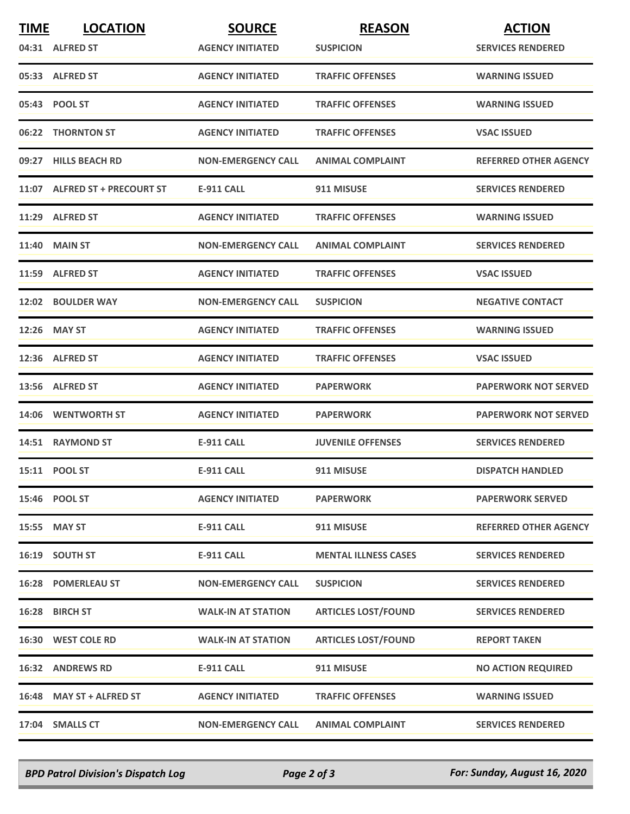| <b>TIME</b> | <b>LOCATION</b>               | <b>SOURCE</b>             | <b>REASON</b>               | <b>ACTION</b>                |
|-------------|-------------------------------|---------------------------|-----------------------------|------------------------------|
|             | 04:31 ALFRED ST               | <b>AGENCY INITIATED</b>   | <b>SUSPICION</b>            | <b>SERVICES RENDERED</b>     |
|             | 05:33 ALFRED ST               | <b>AGENCY INITIATED</b>   | <b>TRAFFIC OFFENSES</b>     | <b>WARNING ISSUED</b>        |
|             | 05:43 POOL ST                 | <b>AGENCY INITIATED</b>   | <b>TRAFFIC OFFENSES</b>     | <b>WARNING ISSUED</b>        |
|             | 06:22 THORNTON ST             | <b>AGENCY INITIATED</b>   | <b>TRAFFIC OFFENSES</b>     | <b>VSAC ISSUED</b>           |
|             | 09:27 HILLS BEACH RD          | <b>NON-EMERGENCY CALL</b> | <b>ANIMAL COMPLAINT</b>     | <b>REFERRED OTHER AGENCY</b> |
|             | 11:07 ALFRED ST + PRECOURT ST | <b>E-911 CALL</b>         | 911 MISUSE                  | <b>SERVICES RENDERED</b>     |
|             | 11:29 ALFRED ST               | <b>AGENCY INITIATED</b>   | <b>TRAFFIC OFFENSES</b>     | <b>WARNING ISSUED</b>        |
|             | <b>11:40 MAIN ST</b>          | <b>NON-EMERGENCY CALL</b> | <b>ANIMAL COMPLAINT</b>     | <b>SERVICES RENDERED</b>     |
|             | 11:59 ALFRED ST               | <b>AGENCY INITIATED</b>   | <b>TRAFFIC OFFENSES</b>     | <b>VSAC ISSUED</b>           |
|             | 12:02 BOULDER WAY             | <b>NON-EMERGENCY CALL</b> | <b>SUSPICION</b>            | <b>NEGATIVE CONTACT</b>      |
|             | 12:26 MAY ST                  | <b>AGENCY INITIATED</b>   | <b>TRAFFIC OFFENSES</b>     | <b>WARNING ISSUED</b>        |
|             | 12:36 ALFRED ST               | <b>AGENCY INITIATED</b>   | <b>TRAFFIC OFFENSES</b>     | <b>VSAC ISSUED</b>           |
|             | 13:56 ALFRED ST               | <b>AGENCY INITIATED</b>   | <b>PAPERWORK</b>            | <b>PAPERWORK NOT SERVED</b>  |
| 14:06       | <b>WENTWORTH ST</b>           | <b>AGENCY INITIATED</b>   | <b>PAPERWORK</b>            | <b>PAPERWORK NOT SERVED</b>  |
|             | 14:51 RAYMOND ST              | <b>E-911 CALL</b>         | <b>JUVENILE OFFENSES</b>    | <b>SERVICES RENDERED</b>     |
|             | 15:11 POOL ST                 | <b>E-911 CALL</b>         | 911 MISUSE                  | <b>DISPATCH HANDLED</b>      |
|             | 15:46 POOL ST                 | <b>AGENCY INITIATED</b>   | <b>PAPERWORK</b>            | <b>PAPERWORK SERVED</b>      |
|             | 15:55 MAY ST                  | E-911 CALL                | 911 MISUSE                  | <b>REFERRED OTHER AGENCY</b> |
|             | 16:19 SOUTH ST                | <b>E-911 CALL</b>         | <b>MENTAL ILLNESS CASES</b> | <b>SERVICES RENDERED</b>     |
|             | <b>16:28 POMERLEAU ST</b>     | <b>NON-EMERGENCY CALL</b> | <b>SUSPICION</b>            | <b>SERVICES RENDERED</b>     |
|             | 16:28 BIRCH ST                | <b>WALK-IN AT STATION</b> | <b>ARTICLES LOST/FOUND</b>  | <b>SERVICES RENDERED</b>     |
|             | 16:30 WEST COLE RD            | <b>WALK-IN AT STATION</b> | <b>ARTICLES LOST/FOUND</b>  | <b>REPORT TAKEN</b>          |
|             | <b>16:32 ANDREWS RD</b>       | <b>E-911 CALL</b>         | 911 MISUSE                  | <b>NO ACTION REQUIRED</b>    |
|             | 16:48 MAY ST + ALFRED ST      | <b>AGENCY INITIATED</b>   | <b>TRAFFIC OFFENSES</b>     | <b>WARNING ISSUED</b>        |
|             | 17:04 SMALLS CT               | <b>NON-EMERGENCY CALL</b> | <b>ANIMAL COMPLAINT</b>     | <b>SERVICES RENDERED</b>     |

*BPD Patrol Division's Dispatch Log Page 2 of 3 For: Sunday, August 16, 2020*